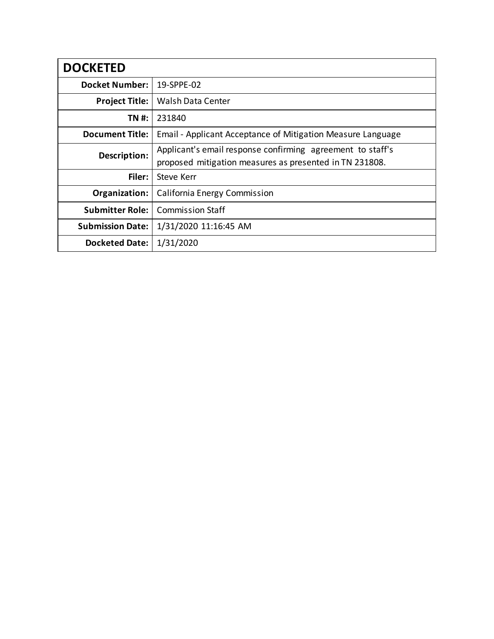| <b>DOCKETED</b>         |                                                                                                                       |
|-------------------------|-----------------------------------------------------------------------------------------------------------------------|
| <b>Docket Number:</b>   | 19-SPPE-02                                                                                                            |
| <b>Project Title:</b>   | <b>Walsh Data Center</b>                                                                                              |
| TN #:                   | 231840                                                                                                                |
| <b>Document Title:</b>  | Email - Applicant Acceptance of Mitigation Measure Language                                                           |
| Description:            | Applicant's email response confirming agreement to staff's<br>proposed mitigation measures as presented in TN 231808. |
| Filer:                  | <b>Steve Kerr</b>                                                                                                     |
| Organization:           | California Energy Commission                                                                                          |
| <b>Submitter Role:</b>  | <b>Commission Staff</b>                                                                                               |
| <b>Submission Date:</b> | 1/31/2020 11:16:45 AM                                                                                                 |
| <b>Docketed Date:</b>   | 1/31/2020                                                                                                             |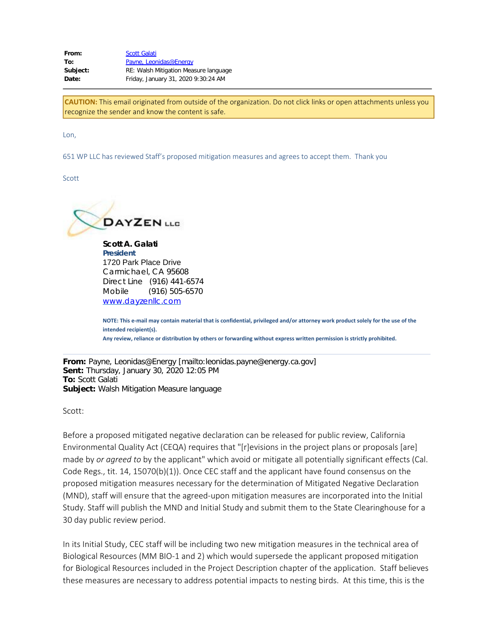From: [Scott Galati](mailto:sgalati@dayzenllc.com) To: [Payne, Leonidas@Energy](mailto:leonidas.payne@energy.ca.gov) **Subject:** RE: Walsh Mitigation Measure language **Date:** Friday, January 31, 2020 9:30:24 AM

**CAUTION:** This email originated from outside of the organization. Do not click links or open attachments unless you recognize the sender and know the content is safe.

Lon,

651 WP LLC has reviewed Staff's proposed mitigation measures and agrees to accept them. Thank you

Scott



**Scott A. Galati President** 1720 Park Place Drive Carmichael, CA 95608 Direct Line (916) 441-6574 Mobile (916) 505-6570 [www.dayzenllc.com](https://gcc01.safelinks.protection.outlook.com/?url=http%3A%2F%2Fwww.dayzenllc.com%2F&data=01%7C01%7C%7C5d58784063ad4a30643a08d7a6733ea2%7Cac3a124413f44ef68d1bbaa27148194e%7C0&sdata=4d%2FBapBWtPDDoXRnHLoZes8u4a9CdeI6F0Xs6T6lBew%3D&reserved=0)

**NOTE: This e-mail may contain material that is confidential, privileged and/or attorney work product solely for the use of the intended recipient(s). Any review, reliance or distribution by others or forwarding without express written permission is strictly prohibited.**

**From:** Payne, Leonidas@Energy [mailto:leonidas.payne@energy.ca.gov] **Sent:** Thursday, January 30, 2020 12:05 PM **To:** Scott Galati **Subject:** Walsh Mitigation Measure language

Scott:

Before a proposed mitigated negative declaration can be released for public review, California Environmental Quality Act (CEQA) requires that "[r]evisions in the project plans or proposals [are] made by *or agreed to* by the applicant" which avoid or mitigate all potentially significant effects (Cal. Code Regs., tit. 14, 15070(b)(1)). Once CEC staff and the applicant have found consensus on the proposed mitigation measures necessary for the determination of Mitigated Negative Declaration (MND), staff will ensure that the agreed-upon mitigation measures are incorporated into the Initial Study. Staff will publish the MND and Initial Study and submit them to the State Clearinghouse for a 30 day public review period.

In its Initial Study, CEC staff will be including two new mitigation measures in the technical area of Biological Resources (MM BIO-1 and 2) which would supersede the applicant proposed mitigation for Biological Resources included in the Project Description chapter of the application. Staff believes these measures are necessary to address potential impacts to nesting birds. At this time, this is the